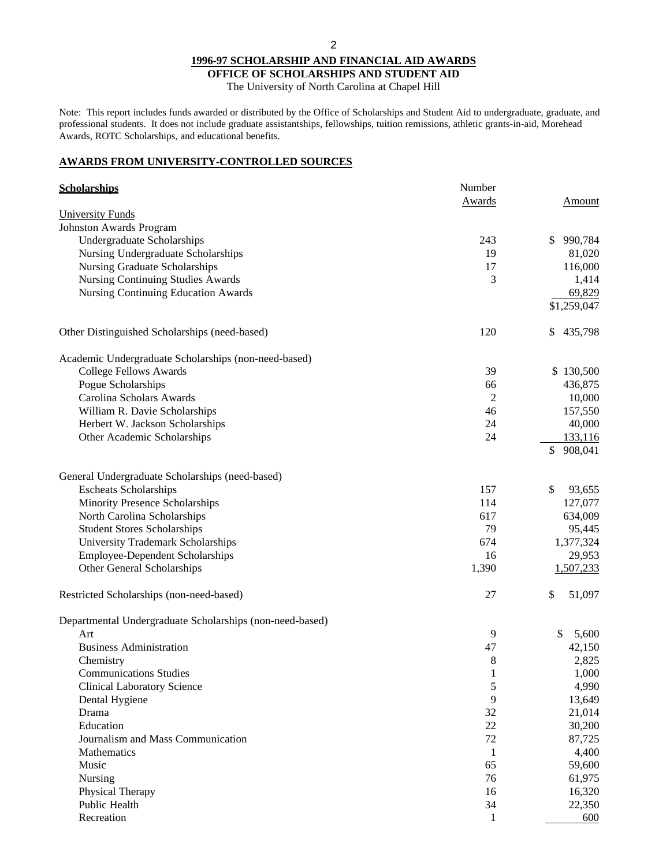**OFFICE OF SCHOLARSHIPS AND STUDENT AID** The University of North Carolina at Chapel Hill

Note: This report includes funds awarded or distributed by the Office of Scholarships and Student Aid to undergraduate, graduate, and professional students. It does not include graduate assistantships, fellowships, tuition remissions, athletic grants-in-aid, Morehead Awards, ROTC Scholarships, and educational benefits.

## **AWARDS FROM UNIVERSITY-CONTROLLED SOURCES**

| <b>Scholarships</b>                                      | Number        |               |
|----------------------------------------------------------|---------------|---------------|
|                                                          | <b>Awards</b> | Amount        |
| <b>University Funds</b>                                  |               |               |
| <b>Johnston Awards Program</b>                           |               |               |
| Undergraduate Scholarships                               | 243           | 990,784<br>\$ |
| Nursing Undergraduate Scholarships                       | 19            | 81,020        |
| <b>Nursing Graduate Scholarships</b>                     | 17            | 116,000       |
| <b>Nursing Continuing Studies Awards</b>                 | 3             | 1,414         |
| <b>Nursing Continuing Education Awards</b>               |               | 69,829        |
|                                                          |               | \$1,259,047   |
| Other Distinguished Scholarships (need-based)            | 120           | \$<br>435,798 |
| Academic Undergraduate Scholarships (non-need-based)     |               |               |
| <b>College Fellows Awards</b>                            | 39            | \$130,500     |
| Pogue Scholarships                                       | 66            | 436,875       |
| Carolina Scholars Awards                                 | 2             | 10,000        |
| William R. Davie Scholarships                            | 46            | 157,550       |
| Herbert W. Jackson Scholarships                          | 24            | 40,000        |
| Other Academic Scholarships                              | 24            | 133,116       |
|                                                          |               | 908,041<br>\$ |
| General Undergraduate Scholarships (need-based)          |               |               |
| <b>Escheats Scholarships</b>                             | 157           | \$<br>93,655  |
| Minority Presence Scholarships                           | 114           | 127,077       |
| North Carolina Scholarships                              | 617           | 634,009       |
| <b>Student Stores Scholarships</b>                       | 79            | 95,445        |
| University Trademark Scholarships                        | 674           | 1,377,324     |
| <b>Employee-Dependent Scholarships</b>                   | 16            | 29,953        |
| Other General Scholarships                               | 1,390         | 1,507,233     |
| Restricted Scholarships (non-need-based)                 | 27            | \$<br>51,097  |
| Departmental Undergraduate Scholarships (non-need-based) |               |               |
| Art                                                      | 9             | \$<br>5,600   |
| <b>Business Administration</b>                           | 47            | 42,150        |
| Chemistry                                                | 8             | 2,825         |
| <b>Communications Studies</b>                            | $\mathbf{I}$  | 1,000         |
| <b>Clinical Laboratory Science</b>                       | 5             | 4,990         |
| Dental Hygiene                                           | 9             | 13,649        |
| Drama                                                    | 32            | 21,014        |
| Education                                                | 22            | 30,200        |
| Journalism and Mass Communication                        | 72            | 87,725        |
| Mathematics                                              | $\mathbf{1}$  | 4,400         |
| Music                                                    | 65            | 59,600        |
| Nursing                                                  | 76            | 61,975        |
| Physical Therapy                                         | 16            | 16,320        |
| Public Health                                            | 34            | 22,350        |
| Recreation                                               | $\mathbf{1}$  | 600           |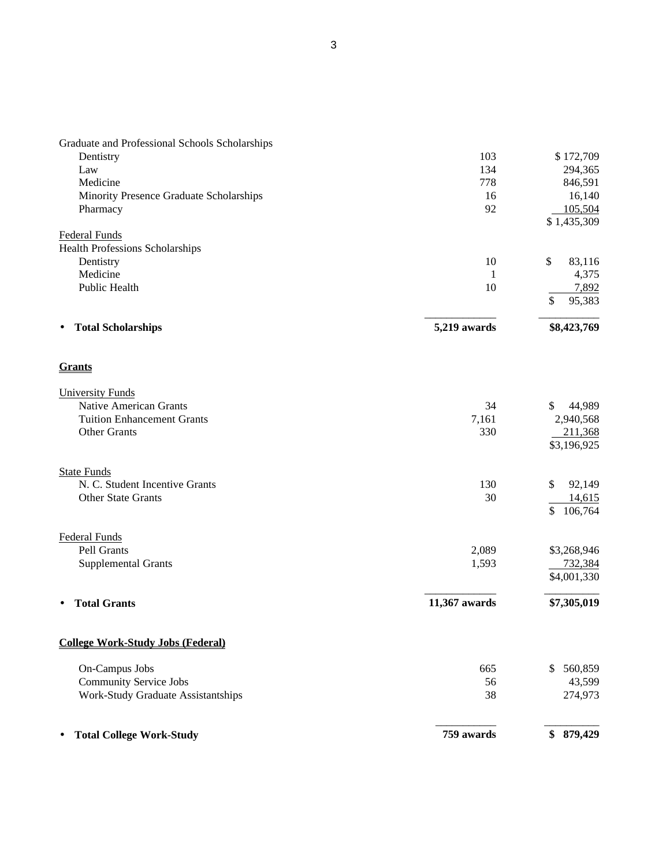| Graduate and Professional Schools Scholarships                 |               |                         |
|----------------------------------------------------------------|---------------|-------------------------|
| Dentistry                                                      | 103           | \$172,709               |
| Law                                                            | 134           | 294,365                 |
| Medicine                                                       | 778           | 846,591                 |
| Minority Presence Graduate Scholarships                        | 16            | 16,140                  |
| Pharmacy                                                       | 92            | 105,504                 |
|                                                                |               | \$1,435,309             |
| <b>Federal Funds</b><br><b>Health Professions Scholarships</b> |               |                         |
| Dentistry                                                      | 10            | \$<br>83,116            |
| Medicine                                                       | 1             | 4,375                   |
| Public Health                                                  | 10            | 7,892                   |
|                                                                |               | \$<br>95,383            |
| <b>Total Scholarships</b><br>$\bullet$                         | 5,219 awards  | \$8,423,769             |
| <b>Grants</b>                                                  |               |                         |
| <b>University Funds</b>                                        |               |                         |
| <b>Native American Grants</b>                                  | 34            | \$<br>44,989            |
| <b>Tuition Enhancement Grants</b>                              | 7,161         | 2,940,568               |
| <b>Other Grants</b>                                            | 330           | 211,368                 |
|                                                                |               | \$3,196,925             |
| <b>State Funds</b>                                             |               |                         |
| N. C. Student Incentive Grants                                 | 130           | \$<br>92,149            |
| <b>Other State Grants</b>                                      | 30            | 14,615                  |
|                                                                |               | \$<br>106,764           |
| <b>Federal Funds</b>                                           |               |                         |
| Pell Grants                                                    | 2,089         | \$3,268,946             |
| <b>Supplemental Grants</b>                                     | 1,593         | 732,384                 |
|                                                                |               | \$4,001,330             |
| <b>Total Grants</b>                                            | 11,367 awards | \$7,305,019             |
| <b>College Work-Study Jobs (Federal)</b>                       |               |                         |
| On-Campus Jobs                                                 | 665           | 560,859<br>$\mathbb{S}$ |
| <b>Community Service Jobs</b>                                  | 56            | 43,599                  |
| Work-Study Graduate Assistantships                             | 38            | 274,973                 |
| <b>Total College Work-Study</b><br>٠                           | 759 awards    | \$879,429               |
|                                                                |               |                         |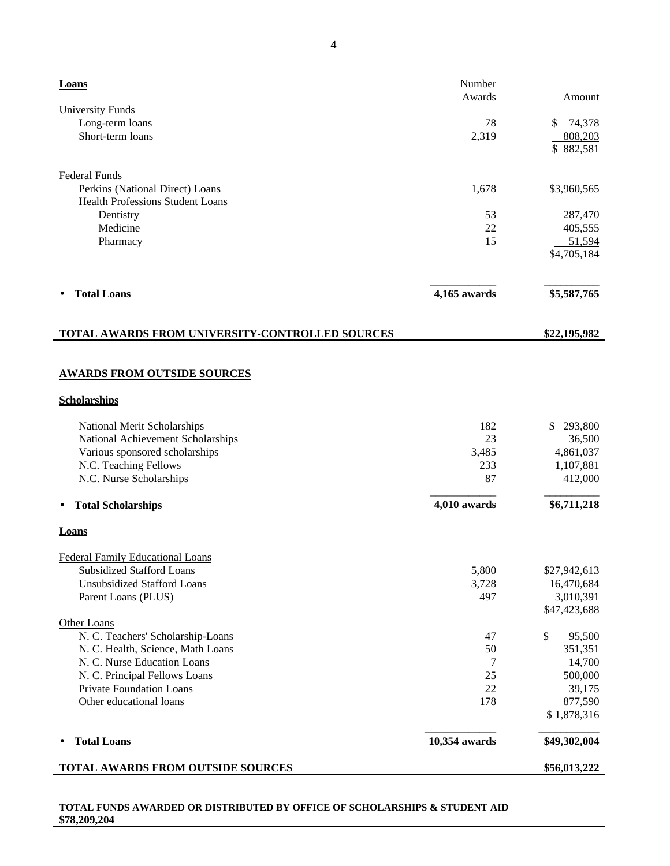| Loans                                           | Number<br>Awards | Amount                 |
|-------------------------------------------------|------------------|------------------------|
| <b>University Funds</b>                         |                  |                        |
| Long-term loans                                 | 78               | \$<br>74,378           |
| Short-term loans                                | 2,319            | 808,203                |
|                                                 |                  | \$882,581              |
| <b>Federal Funds</b>                            |                  |                        |
| Perkins (National Direct) Loans                 | 1,678            | \$3,960,565            |
| <b>Health Professions Student Loans</b>         |                  |                        |
| Dentistry                                       | 53               | 287,470                |
| Medicine                                        | 22               | 405,555                |
| Pharmacy                                        | 15               | 51,594                 |
|                                                 |                  | \$4,705,184            |
| <b>Total Loans</b>                              | 4,165 awards     | \$5,587,765            |
| TOTAL AWARDS FROM UNIVERSITY-CONTROLLED SOURCES |                  | \$22,195,982           |
|                                                 |                  |                        |
| <b>AWARDS FROM OUTSIDE SOURCES</b>              |                  |                        |
| <b>Scholarships</b>                             |                  |                        |
| National Merit Scholarships                     | 182              | \$293,800              |
| National Achievement Scholarships               | 23               | 36,500                 |
| Various sponsored scholarships                  | 3,485            | 4,861,037              |
| N.C. Teaching Fellows                           | 233              | 1,107,881              |
| N.C. Nurse Scholarships                         | 87               | 412,000                |
| <b>Total Scholarships</b><br>$\bullet$          | 4,010 awards     | \$6,711,218            |
| Loans                                           |                  |                        |
| <b>Federal Family Educational Loans</b>         |                  |                        |
| <b>Subsidized Stafford Loans</b>                | 5,800            | \$27,942,613           |
| <b>Unsubsidized Stafford Loans</b>              | 3,728            | 16,470,684             |
| Parent Loans (PLUS)                             | 497              | 3,010,391              |
|                                                 |                  | \$47,423,688           |
| Other Loans                                     |                  |                        |
| N. C. Teachers' Scholarship-Loans               | 47               | \$<br>95,500           |
| N. C. Health, Science, Math Loans               | 50               | 351,351                |
| N. C. Nurse Education Loans                     | 7                | 14,700                 |
| N. C. Principal Fellows Loans                   | 25               | 500,000                |
| Private Foundation Loans                        | 22               | 39,175                 |
| Other educational loans                         | 178              | 877,590<br>\$1,878,316 |
| <b>Total Loans</b>                              | 10,354 awards    | \$49,302,004           |
| TOTAL AWARDS FROM OUTSIDE SOURCES               |                  | \$56,013,222           |

# **TOTAL FUNDS AWARDED OR DISTRIBUTED BY OFFICE OF SCHOLARSHIPS & STUDENT AID \$78,209,204**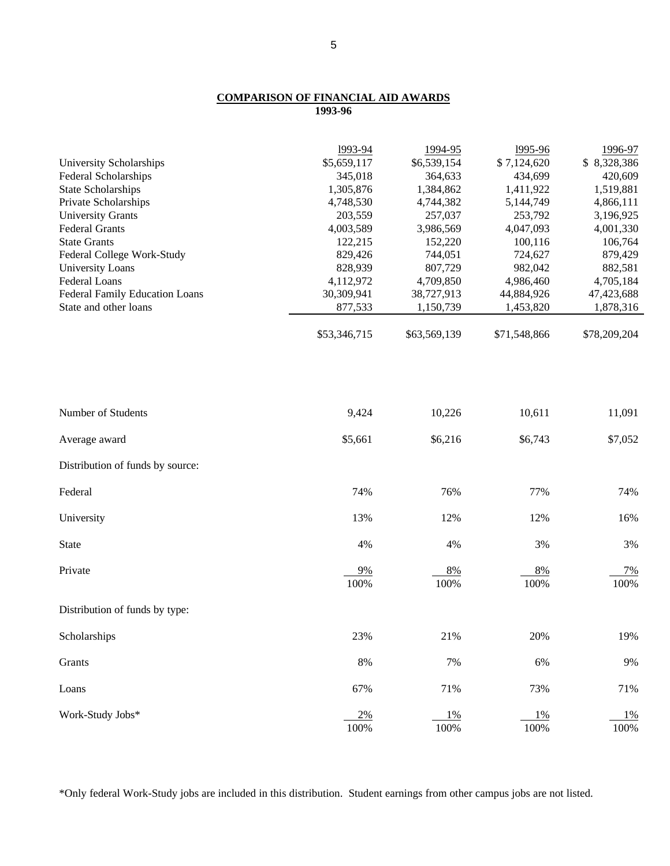## **COMPARISON OF FINANCIAL AID AWARDS 1993-96**

|                                       | 1993-94      | 1994-95       | 1995-96      | 1996-97       |
|---------------------------------------|--------------|---------------|--------------|---------------|
| University Scholarships               | \$5,659,117  | \$6,539,154   | \$7,124,620  | \$8,328,386   |
| Federal Scholarships                  | 345,018      | 364,633       | 434,699      | 420,609       |
| <b>State Scholarships</b>             | 1,305,876    | 1,384,862     | 1,411,922    | 1,519,881     |
| Private Scholarships                  | 4,748,530    | 4,744,382     | 5,144,749    | 4,866,111     |
| <b>University Grants</b>              | 203,559      | 257,037       | 253,792      | 3,196,925     |
| <b>Federal Grants</b>                 | 4,003,589    | 3,986,569     | 4,047,093    | 4,001,330     |
| <b>State Grants</b>                   | 122,215      | 152,220       | 100,116      | 106,764       |
| Federal College Work-Study            | 829,426      | 744,051       | 724,627      | 879,429       |
| <b>University Loans</b>               | 828,939      | 807,729       | 982,042      | 882,581       |
| Federal Loans                         | 4,112,972    | 4,709,850     | 4,986,460    | 4,705,184     |
| <b>Federal Family Education Loans</b> | 30,309,941   | 38,727,913    | 44,884,926   | 47,423,688    |
| State and other loans                 | 877,533      | 1,150,739     | 1,453,820    | 1,878,316     |
|                                       | \$53,346,715 | \$63,569,139  | \$71,548,866 | \$78,209,204  |
|                                       |              |               |              |               |
| Number of Students                    | 9,424        | 10,226        | 10,611       | 11,091        |
| Average award                         | \$5,661      | \$6,216       | \$6,743      | \$7,052       |
| Distribution of funds by source:      |              |               |              |               |
| Federal                               | 74%          | 76%           | 77%          | 74%           |
| University                            | 13%          | 12%           | 12%          | 16%           |
| State                                 | 4%           | 4%            | 3%           | 3%            |
| Private                               | 9%<br>100%   | 8%<br>100%    | 8%<br>100%   | $7\%$<br>100% |
| Distribution of funds by type:        |              |               |              |               |
| Scholarships                          | 23%          | 21%           | 20%          | 19%           |
| Grants                                | $8\%$        | 7%            | 6%           | 9%            |
| Loans                                 | 67%          | $71\%$        | 73%          | 71%           |
| Work-Study Jobs*                      | 2%<br>100%   | $1\%$<br>100% | 1%<br>100%   | $1\%$<br>100% |

\*Only federal Work-Study jobs are included in this distribution. Student earnings from other campus jobs are not listed.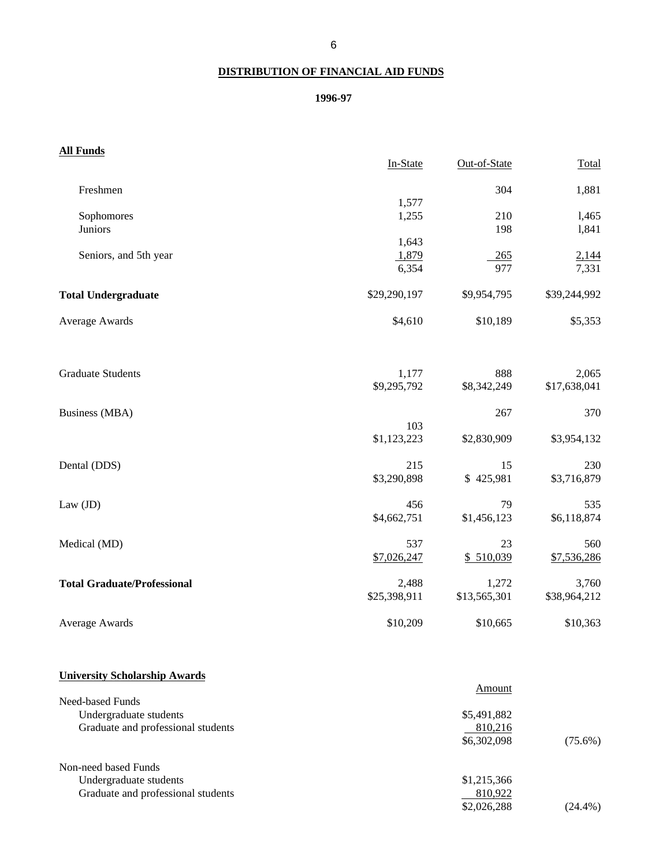# **DISTRIBUTION OF FINANCIAL AID FUNDS**

# **1996-97**

| <b>All Funds</b>                     |              |              |              |
|--------------------------------------|--------------|--------------|--------------|
|                                      | In-State     | Out-of-State | Total        |
| Freshmen                             |              | 304          | 1,881        |
|                                      | 1,577        |              |              |
| Sophomores                           | 1,255        | 210          | 1,465        |
| Juniors                              |              | 198          | 1,841        |
|                                      | 1,643        |              |              |
| Seniors, and 5th year                | 1,879        | 265          | 2,144        |
|                                      | 6,354        | 977          | 7,331        |
| <b>Total Undergraduate</b>           | \$29,290,197 | \$9,954,795  | \$39,244,992 |
| Average Awards                       | \$4,610      | \$10,189     | \$5,353      |
| <b>Graduate Students</b>             | 1,177        | 888          | 2,065        |
|                                      | \$9,295,792  | \$8,342,249  | \$17,638,041 |
| <b>Business (MBA)</b>                |              | 267          | 370          |
|                                      | 103          |              |              |
|                                      | \$1,123,223  | \$2,830,909  | \$3,954,132  |
| Dental (DDS)                         | 215          | 15           | 230          |
|                                      | \$3,290,898  | \$425,981    | \$3,716,879  |
| Law $(JD)$                           | 456          | 79           | 535          |
|                                      | \$4,662,751  | \$1,456,123  | \$6,118,874  |
| Medical (MD)                         | 537          | 23           | 560          |
|                                      | \$7,026,247  | \$510,039    | \$7,536,286  |
| <b>Total Graduate/Professional</b>   | 2,488        | 1,272        | 3,760        |
|                                      | \$25,398,911 | \$13,565,301 | \$38,964,212 |
| Average Awards                       | \$10,209     | \$10,665     | \$10,363     |
| <b>University Scholarship Awards</b> |              |              |              |
| <b>Need-based Funds</b>              |              | Amount       |              |
| Undergraduate students               |              | \$5,491,882  |              |
| Graduate and professional students   |              | 810,216      |              |
|                                      |              | \$6,302,098  | $(75.6\%)$   |
| Non-need based Funds                 |              |              |              |
| Undergraduate students               |              | \$1,215,366  |              |
| Graduate and professional students   |              | 810,922      |              |
|                                      |              | \$2,026,288  | $(24.4\%)$   |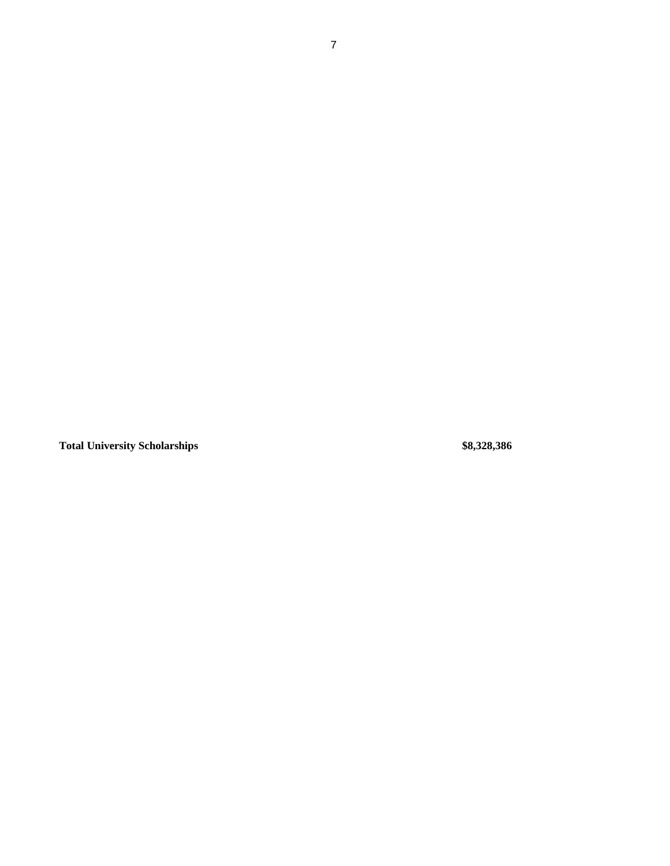**Total University Scholarships \$8,328,386**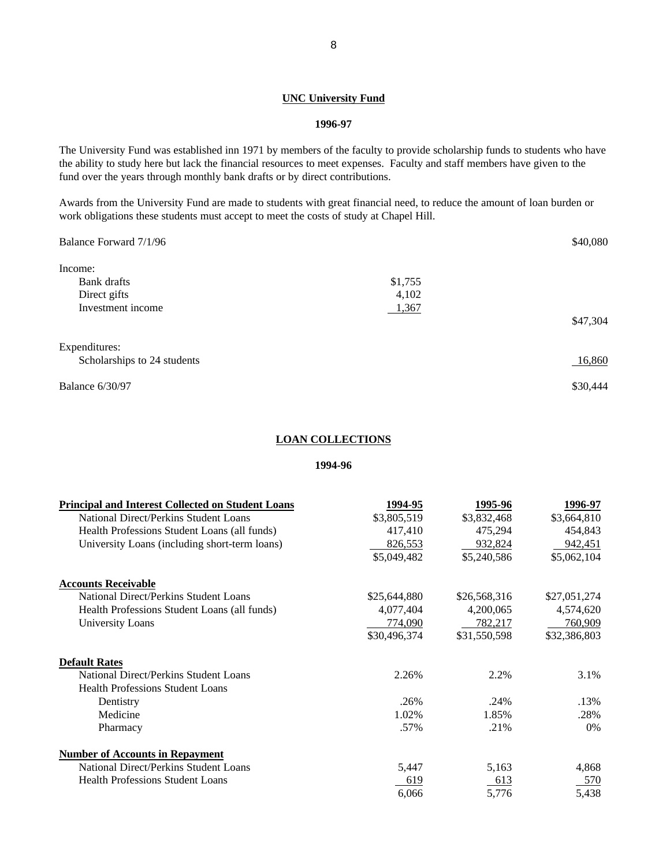## **UNC University Fund**

#### **1996-97**

The University Fund was established inn 1971 by members of the faculty to provide scholarship funds to students who have the ability to study here but lack the financial resources to meet expenses. Faculty and staff members have given to the fund over the years through monthly bank drafts or by direct contributions.

Awards from the University Fund are made to students with great financial need, to reduce the amount of loan burden or work obligations these students must accept to meet the costs of study at Chapel Hill.

| Balance Forward 7/1/96      |         | \$40,080 |
|-----------------------------|---------|----------|
| Income:                     |         |          |
| Bank drafts                 | \$1,755 |          |
| Direct gifts                | 4,102   |          |
| Investment income           | 1,367   |          |
|                             |         | \$47,304 |
| Expenditures:               |         |          |
| Scholarships to 24 students |         | 16,860   |
| <b>Balance 6/30/97</b>      |         | \$30,444 |

#### **LOAN COLLECTIONS**

#### **1994-96**

| <b>Principal and Interest Collected on Student Loans</b> | 1994-95      | 1995-96      | 1996-97      |
|----------------------------------------------------------|--------------|--------------|--------------|
| National Direct/Perkins Student Loans                    | \$3,805,519  | \$3,832,468  | \$3,664,810  |
| Health Professions Student Loans (all funds)             | 417,410      | 475,294      | 454,843      |
| University Loans (including short-term loans)            | 826,553      | 932,824      | 942,451      |
|                                                          | \$5,049,482  | \$5,240,586  | \$5,062,104  |
| <b>Accounts Receivable</b>                               |              |              |              |
| National Direct/Perkins Student Loans                    | \$25,644,880 | \$26,568,316 | \$27,051,274 |
| Health Professions Student Loans (all funds)             | 4,077,404    | 4,200,065    | 4,574,620    |
| <b>University Loans</b>                                  | 774,090      | 782,217      | 760,909      |
|                                                          | \$30,496,374 | \$31,550,598 | \$32,386,803 |
| <b>Default Rates</b>                                     |              |              |              |
| National Direct/Perkins Student Loans                    | 2.26%        | 2.2%         | 3.1%         |
| <b>Health Professions Student Loans</b>                  |              |              |              |
| Dentistry                                                | .26%         | .24%         | .13%         |
| Medicine                                                 | 1.02%        | 1.85%        | .28%         |
| Pharmacy                                                 | .57%         | .21%         | $0\%$        |
| <b>Number of Accounts in Repayment</b>                   |              |              |              |
| National Direct/Perkins Student Loans                    | 5,447        | 5,163        | 4,868        |
| <b>Health Professions Student Loans</b>                  | 619          | 613          | 570          |
|                                                          | 6,066        | 5,776        | 5,438        |